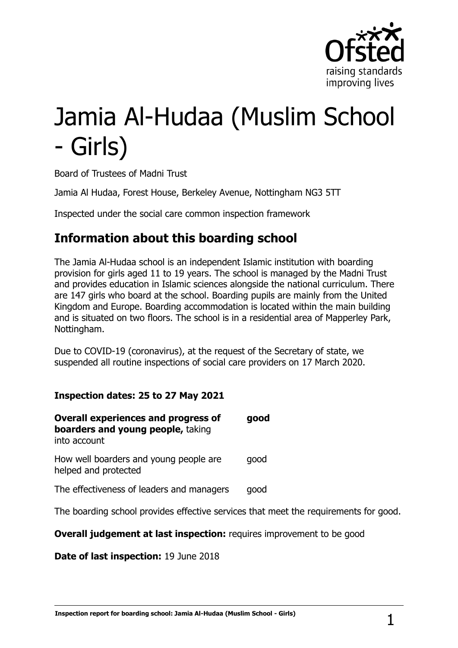

# Jamia Al-Hudaa (Muslim School - Girls)

Board of Trustees of Madni Trust

Jamia Al Hudaa, Forest House, Berkeley Avenue, Nottingham NG3 5TT

Inspected under the social care common inspection framework

## **Information about this boarding school**

The Jamia Al-Hudaa school is an independent Islamic institution with boarding provision for girls aged 11 to 19 years. The school is managed by the Madni Trust and provides education in Islamic sciences alongside the national curriculum. There are 147 girls who board at the school. Boarding pupils are mainly from the United Kingdom and Europe. Boarding accommodation is located within the main building and is situated on two floors. The school is in a residential area of Mapperley Park, Nottingham.

Due to COVID-19 (coronavirus), at the request of the Secretary of state, we suspended all routine inspections of social care providers on 17 March 2020.

#### **Inspection dates: 25 to 27 May 2021**

| <b>Overall experiences and progress of</b><br>boarders and young people, taking<br>into account | good |
|-------------------------------------------------------------------------------------------------|------|
| How well boarders and young people are<br>helped and protected                                  | qood |
| The effectiveness of leaders and managers                                                       | qood |

The boarding school provides effective services that meet the requirements for good.

**Overall judgement at last inspection:** requires improvement to be good

**Date of last inspection:** 19 June 2018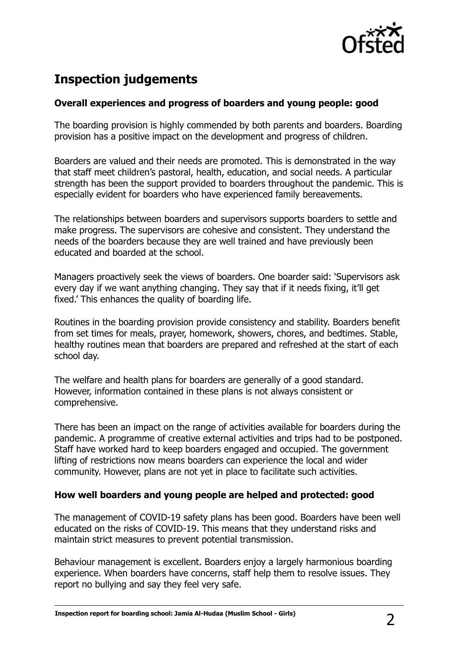

# **Inspection judgements**

#### **Overall experiences and progress of boarders and young people: good**

The boarding provision is highly commended by both parents and boarders. Boarding provision has a positive impact on the development and progress of children.

Boarders are valued and their needs are promoted. This is demonstrated in the way that staff meet children's pastoral, health, education, and social needs. A particular strength has been the support provided to boarders throughout the pandemic. This is especially evident for boarders who have experienced family bereavements.

The relationships between boarders and supervisors supports boarders to settle and make progress. The supervisors are cohesive and consistent. They understand the needs of the boarders because they are well trained and have previously been educated and boarded at the school.

Managers proactively seek the views of boarders. One boarder said: 'Supervisors ask every day if we want anything changing. They say that if it needs fixing, it'll get fixed.' This enhances the quality of boarding life.

Routines in the boarding provision provide consistency and stability. Boarders benefit from set times for meals, prayer, homework, showers, chores, and bedtimes. Stable, healthy routines mean that boarders are prepared and refreshed at the start of each school day.

The welfare and health plans for boarders are generally of a good standard. However, information contained in these plans is not always consistent or comprehensive.

There has been an impact on the range of activities available for boarders during the pandemic. A programme of creative external activities and trips had to be postponed. Staff have worked hard to keep boarders engaged and occupied. The government lifting of restrictions now means boarders can experience the local and wider community. However, plans are not yet in place to facilitate such activities.

#### **How well boarders and young people are helped and protected: good**

The management of COVID-19 safety plans has been good. Boarders have been well educated on the risks of COVID-19. This means that they understand risks and maintain strict measures to prevent potential transmission.

Behaviour management is excellent. Boarders enjoy a largely harmonious boarding experience. When boarders have concerns, staff help them to resolve issues. They report no bullying and say they feel very safe.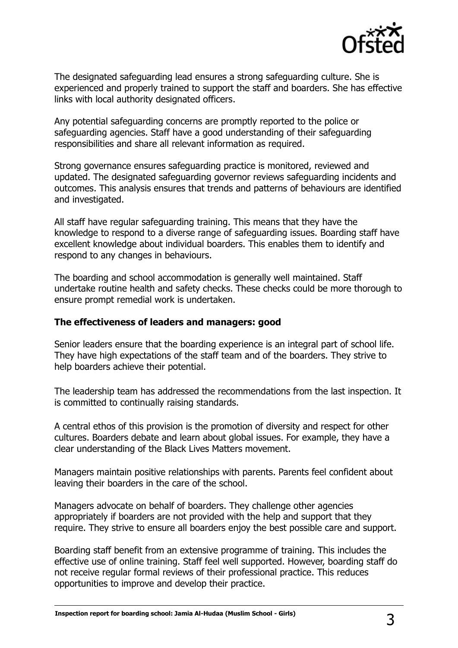

The designated safeguarding lead ensures a strong safeguarding culture. She is experienced and properly trained to support the staff and boarders. She has effective links with local authority designated officers.

Any potential safeguarding concerns are promptly reported to the police or safeguarding agencies. Staff have a good understanding of their safeguarding responsibilities and share all relevant information as required.

Strong governance ensures safeguarding practice is monitored, reviewed and updated. The designated safeguarding governor reviews safeguarding incidents and outcomes. This analysis ensures that trends and patterns of behaviours are identified and investigated.

All staff have regular safeguarding training. This means that they have the knowledge to respond to a diverse range of safeguarding issues. Boarding staff have excellent knowledge about individual boarders. This enables them to identify and respond to any changes in behaviours.

The boarding and school accommodation is generally well maintained. Staff undertake routine health and safety checks. These checks could be more thorough to ensure prompt remedial work is undertaken.

#### **The effectiveness of leaders and managers: good**

Senior leaders ensure that the boarding experience is an integral part of school life. They have high expectations of the staff team and of the boarders. They strive to help boarders achieve their potential.

The leadership team has addressed the recommendations from the last inspection. It is committed to continually raising standards.

A central ethos of this provision is the promotion of diversity and respect for other cultures. Boarders debate and learn about global issues. For example, they have a clear understanding of the Black Lives Matters movement.

Managers maintain positive relationships with parents. Parents feel confident about leaving their boarders in the care of the school.

Managers advocate on behalf of boarders. They challenge other agencies appropriately if boarders are not provided with the help and support that they require. They strive to ensure all boarders enjoy the best possible care and support.

Boarding staff benefit from an extensive programme of training. This includes the effective use of online training. Staff feel well supported. However, boarding staff do not receive regular formal reviews of their professional practice. This reduces opportunities to improve and develop their practice.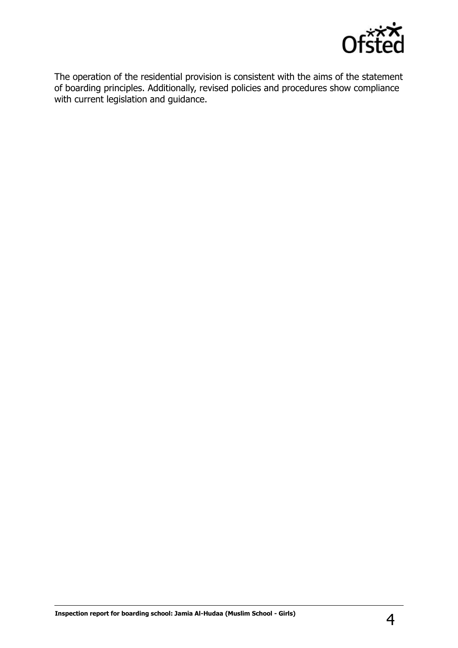

The operation of the residential provision is consistent with the aims of the statement of boarding principles. Additionally, revised policies and procedures show compliance with current legislation and guidance.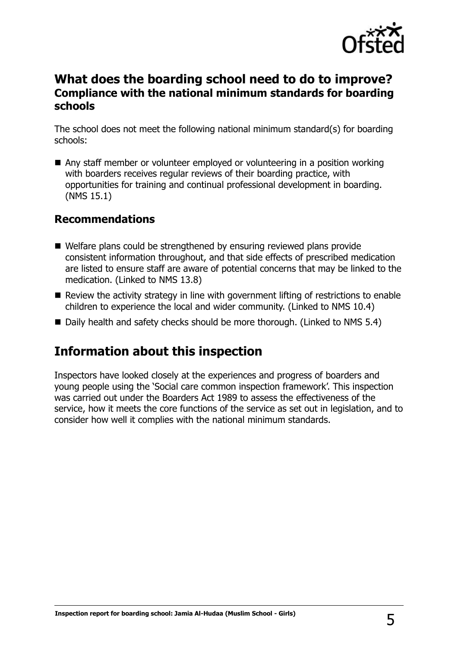

## **What does the boarding school need to do to improve? Compliance with the national minimum standards for boarding schools**

The school does not meet the following national minimum standard(s) for boarding schools:

■ Any staff member or volunteer employed or volunteering in a position working with boarders receives regular reviews of their boarding practice, with opportunities for training and continual professional development in boarding. (NMS 15.1)

### **Recommendations**

- Welfare plans could be strengthened by ensuring reviewed plans provide consistent information throughout, and that side effects of prescribed medication are listed to ensure staff are aware of potential concerns that may be linked to the medication. (Linked to NMS 13.8)
- Review the activity strategy in line with government lifting of restrictions to enable children to experience the local and wider community. (Linked to NMS 10.4)
- Daily health and safety checks should be more thorough. (Linked to NMS 5.4)

## **Information about this inspection**

Inspectors have looked closely at the experiences and progress of boarders and young people using the 'Social care common inspection framework'. This inspection was carried out under the Boarders Act 1989 to assess the effectiveness of the service, how it meets the core functions of the service as set out in legislation, and to consider how well it complies with the national minimum standards.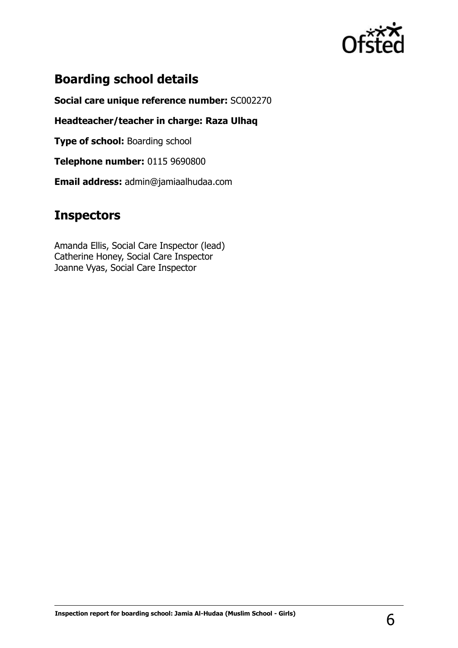

## **Boarding school details**

**Social care unique reference number:** SC002270

**Headteacher/teacher in charge: Raza Ulhaq**

**Type of school: Boarding school** 

**Telephone number:** 0115 9690800

**Email address:** admin@jamiaalhudaa.com

## **Inspectors**

Amanda Ellis, Social Care Inspector (lead) Catherine Honey, Social Care Inspector Joanne Vyas, Social Care Inspector